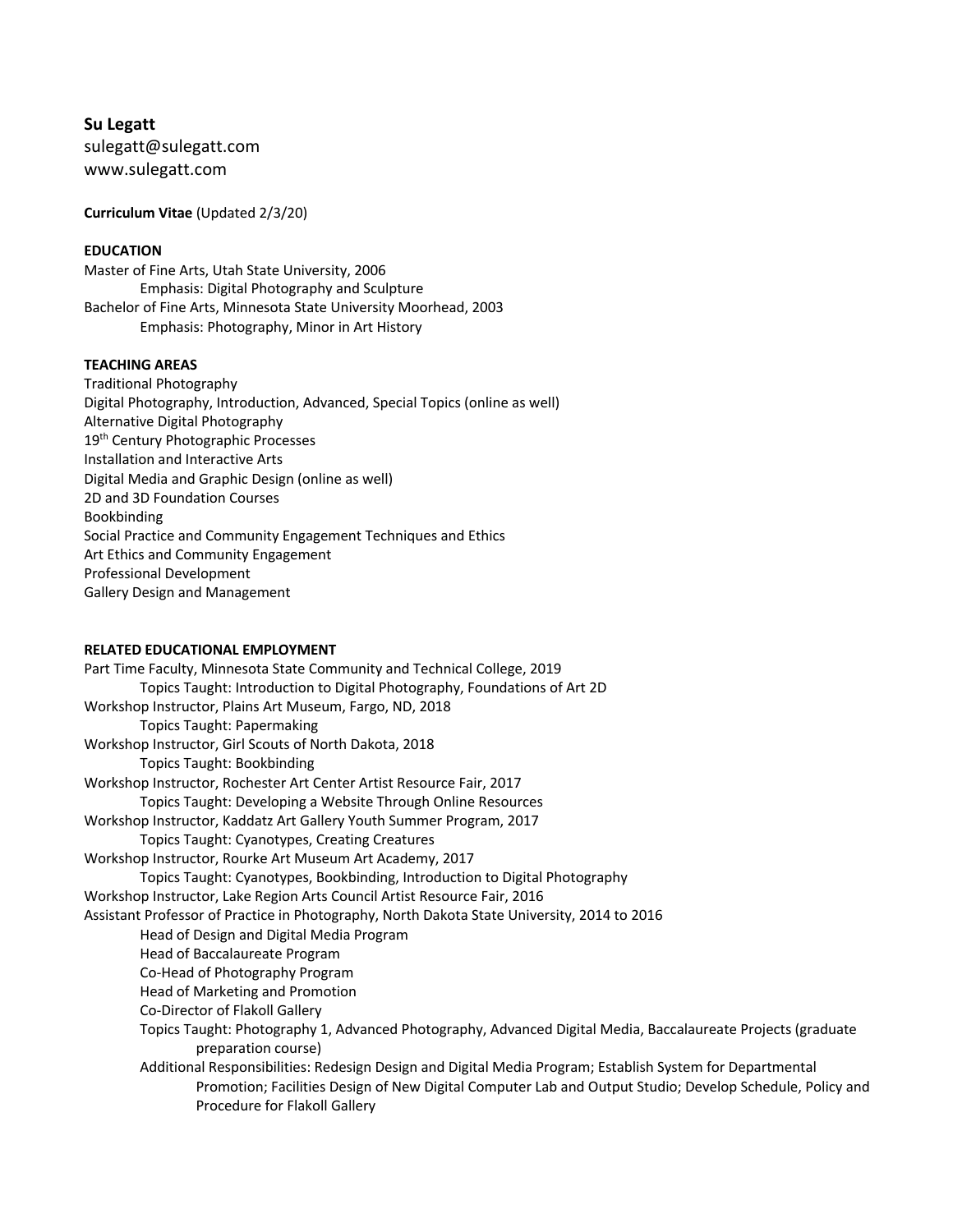**Su Legatt** sulegatt@sulegatt.com www.sulegatt.com

**Curriculum Vitae** (Updated 2/3/20)

# **EDUCATION**

Master of Fine Arts, Utah State University, 2006 Emphasis: Digital Photography and Sculpture Bachelor of Fine Arts, Minnesota State University Moorhead, 2003 Emphasis: Photography, Minor in Art History

### **TEACHING AREAS**

Traditional Photography Digital Photography, Introduction, Advanced, Special Topics (online as well) Alternative Digital Photography 19<sup>th</sup> Century Photographic Processes Installation and Interactive Arts Digital Media and Graphic Design (online as well) 2D and 3D Foundation Courses Bookbinding Social Practice and Community Engagement Techniques and Ethics Art Ethics and Community Engagement Professional Development Gallery Design and Management

## **RELATED EDUCATIONAL EMPLOYMENT**

Part Time Faculty, Minnesota State Community and Technical College, 2019 Topics Taught: Introduction to Digital Photography, Foundations of Art 2D Workshop Instructor, Plains Art Museum, Fargo, ND, 2018 Topics Taught: Papermaking Workshop Instructor, Girl Scouts of North Dakota, 2018 Topics Taught: Bookbinding Workshop Instructor, Rochester Art Center Artist Resource Fair, 2017 Topics Taught: Developing a Website Through Online Resources Workshop Instructor, Kaddatz Art Gallery Youth Summer Program, 2017 Topics Taught: Cyanotypes, Creating Creatures Workshop Instructor, Rourke Art Museum Art Academy, 2017 Topics Taught: Cyanotypes, Bookbinding, Introduction to Digital Photography Workshop Instructor, Lake Region Arts Council Artist Resource Fair, 2016 Assistant Professor of Practice in Photography, North Dakota State University, 2014 to 2016 Head of Design and Digital Media Program Head of Baccalaureate Program Co-Head of Photography Program Head of Marketing and Promotion Co-Director of Flakoll Gallery Topics Taught: Photography 1, Advanced Photography, Advanced Digital Media, Baccalaureate Projects (graduate preparation course) Additional Responsibilities: Redesign Design and Digital Media Program; Establish System for Departmental Promotion; Facilities Design of New Digital Computer Lab and Output Studio; Develop Schedule, Policy and Procedure for Flakoll Gallery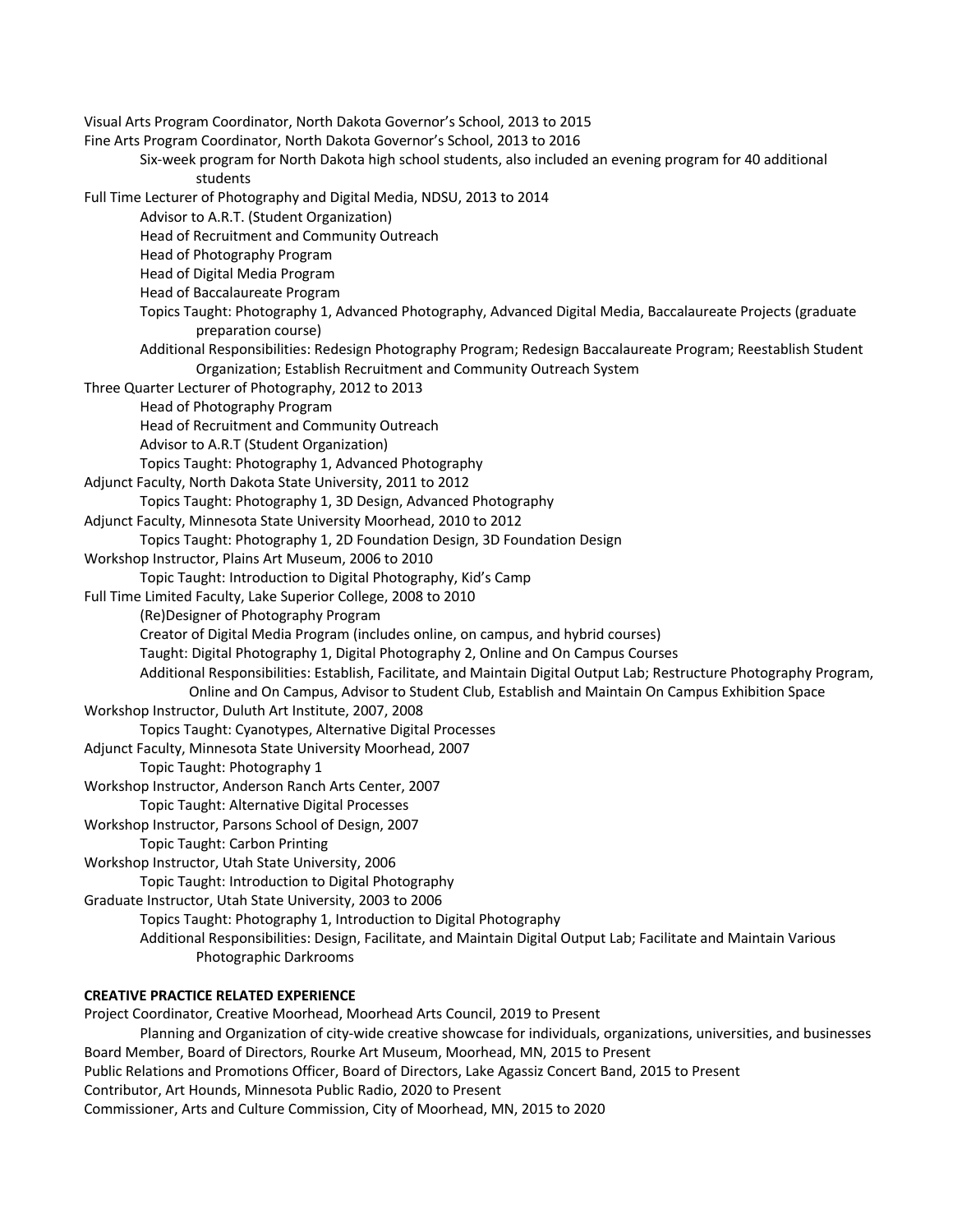Visual Arts Program Coordinator, North Dakota Governor's School, 2013 to 2015 Fine Arts Program Coordinator, North Dakota Governor's School, 2013 to 2016 Six-week program for North Dakota high school students, also included an evening program for 40 additional students Full Time Lecturer of Photography and Digital Media, NDSU, 2013 to 2014 Advisor to A.R.T. (Student Organization) Head of Recruitment and Community Outreach Head of Photography Program Head of Digital Media Program Head of Baccalaureate Program Topics Taught: Photography 1, Advanced Photography, Advanced Digital Media, Baccalaureate Projects (graduate preparation course) Additional Responsibilities: Redesign Photography Program; Redesign Baccalaureate Program; Reestablish Student Organization; Establish Recruitment and Community Outreach System Three Quarter Lecturer of Photography, 2012 to 2013 Head of Photography Program Head of Recruitment and Community Outreach Advisor to A.R.T (Student Organization) Topics Taught: Photography 1, Advanced Photography Adjunct Faculty, North Dakota State University, 2011 to 2012 Topics Taught: Photography 1, 3D Design, Advanced Photography Adjunct Faculty, Minnesota State University Moorhead, 2010 to 2012 Topics Taught: Photography 1, 2D Foundation Design, 3D Foundation Design Workshop Instructor, Plains Art Museum, 2006 to 2010 Topic Taught: Introduction to Digital Photography, Kid's Camp Full Time Limited Faculty, Lake Superior College, 2008 to 2010 (Re)Designer of Photography Program Creator of Digital Media Program (includes online, on campus, and hybrid courses) Taught: Digital Photography 1, Digital Photography 2, Online and On Campus Courses Additional Responsibilities: Establish, Facilitate, and Maintain Digital Output Lab; Restructure Photography Program, Online and On Campus, Advisor to Student Club, Establish and Maintain On Campus Exhibition Space Workshop Instructor, Duluth Art Institute, 2007, 2008 Topics Taught: Cyanotypes, Alternative Digital Processes Adjunct Faculty, Minnesota State University Moorhead, 2007 Topic Taught: Photography 1 Workshop Instructor, Anderson Ranch Arts Center, 2007 Topic Taught: Alternative Digital Processes Workshop Instructor, Parsons School of Design, 2007 Topic Taught: Carbon Printing Workshop Instructor, Utah State University, 2006 Topic Taught: Introduction to Digital Photography Graduate Instructor, Utah State University, 2003 to 2006 Topics Taught: Photography 1, Introduction to Digital Photography Additional Responsibilities: Design, Facilitate, and Maintain Digital Output Lab; Facilitate and Maintain Various Photographic Darkrooms

# **CREATIVE PRACTICE RELATED EXPERIENCE**

Project Coordinator, Creative Moorhead, Moorhead Arts Council, 2019 to Present Planning and Organization of city-wide creative showcase for individuals, organizations, universities, and businesses Board Member, Board of Directors, Rourke Art Museum, Moorhead, MN, 2015 to Present Public Relations and Promotions Officer, Board of Directors, Lake Agassiz Concert Band, 2015 to Present Contributor, Art Hounds, Minnesota Public Radio, 2020 to Present Commissioner, Arts and Culture Commission, City of Moorhead, MN, 2015 to 2020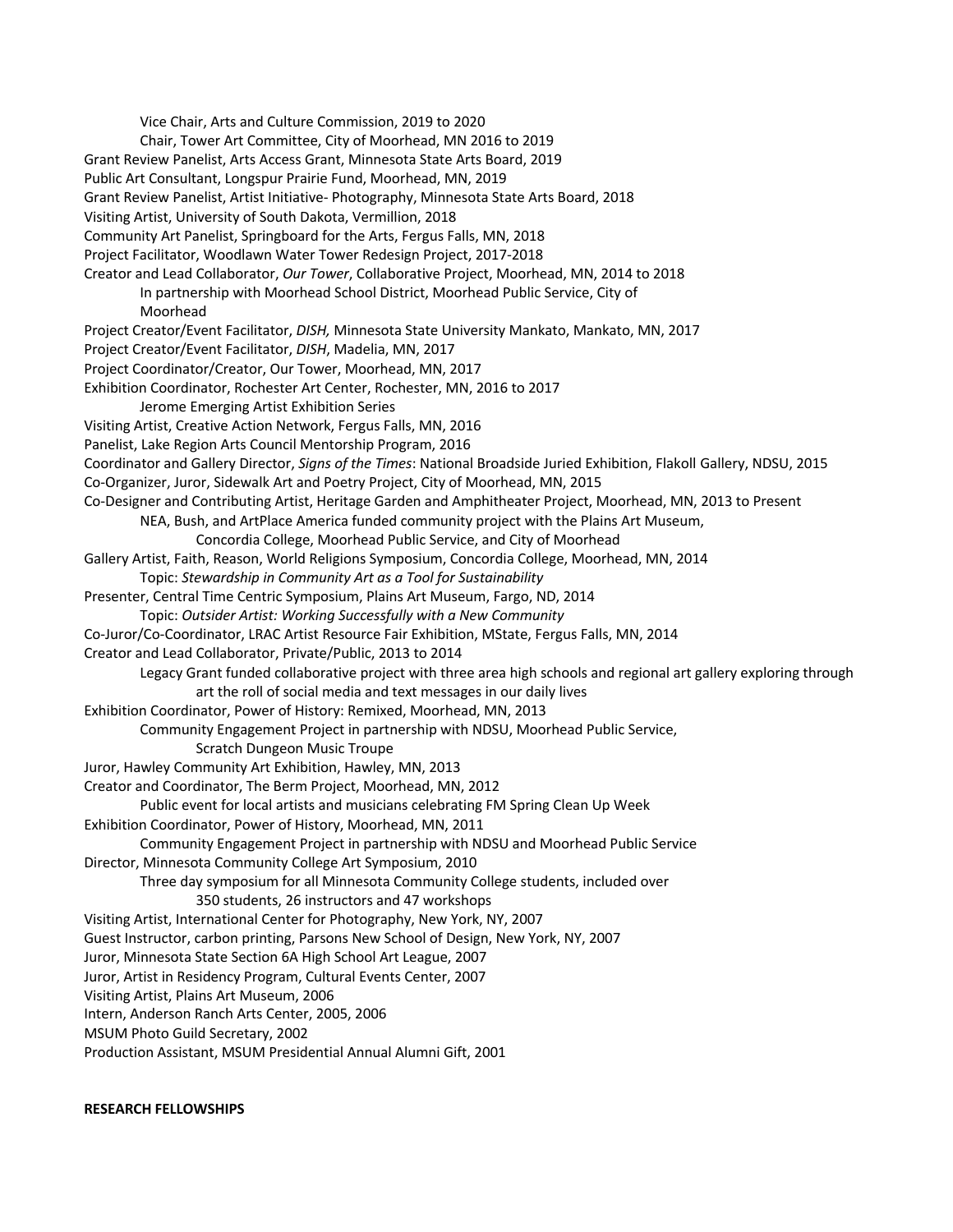Vice Chair, Arts and Culture Commission, 2019 to 2020 Chair, Tower Art Committee, City of Moorhead, MN 2016 to 2019 Grant Review Panelist, Arts Access Grant, Minnesota State Arts Board, 2019 Public Art Consultant, Longspur Prairie Fund, Moorhead, MN, 2019 Grant Review Panelist, Artist Initiative- Photography, Minnesota State Arts Board, 2018 Visiting Artist, University of South Dakota, Vermillion, 2018 Community Art Panelist, Springboard for the Arts, Fergus Falls, MN, 2018 Project Facilitator, Woodlawn Water Tower Redesign Project, 2017-2018 Creator and Lead Collaborator, *Our Tower*, Collaborative Project, Moorhead, MN, 2014 to 2018 In partnership with Moorhead School District, Moorhead Public Service, City of Moorhead Project Creator/Event Facilitator, *DISH,* Minnesota State University Mankato, Mankato, MN, 2017 Project Creator/Event Facilitator, *DISH*, Madelia, MN, 2017 Project Coordinator/Creator, Our Tower, Moorhead, MN, 2017 Exhibition Coordinator, Rochester Art Center, Rochester, MN, 2016 to 2017 Jerome Emerging Artist Exhibition Series Visiting Artist, Creative Action Network, Fergus Falls, MN, 2016 Panelist, Lake Region Arts Council Mentorship Program, 2016 Coordinator and Gallery Director, *Signs of the Times*: National Broadside Juried Exhibition, Flakoll Gallery, NDSU, 2015 Co-Organizer, Juror, Sidewalk Art and Poetry Project, City of Moorhead, MN, 2015 Co-Designer and Contributing Artist, Heritage Garden and Amphitheater Project, Moorhead, MN, 2013 to Present NEA, Bush, and ArtPlace America funded community project with the Plains Art Museum, Concordia College, Moorhead Public Service, and City of Moorhead Gallery Artist, Faith, Reason, World Religions Symposium, Concordia College, Moorhead, MN, 2014 Topic: *Stewardship in Community Art as a Tool for Sustainability* Presenter, Central Time Centric Symposium, Plains Art Museum, Fargo, ND, 2014 Topic: *Outsider Artist: Working Successfully with a New Community* Co-Juror/Co-Coordinator, LRAC Artist Resource Fair Exhibition, MState, Fergus Falls, MN, 2014 Creator and Lead Collaborator, Private/Public, 2013 to 2014 Legacy Grant funded collaborative project with three area high schools and regional art gallery exploring through art the roll of social media and text messages in our daily lives Exhibition Coordinator, Power of History: Remixed, Moorhead, MN, 2013 Community Engagement Project in partnership with NDSU, Moorhead Public Service, Scratch Dungeon Music Troupe Juror, Hawley Community Art Exhibition, Hawley, MN, 2013 Creator and Coordinator, The Berm Project, Moorhead, MN, 2012 Public event for local artists and musicians celebrating FM Spring Clean Up Week Exhibition Coordinator, Power of History, Moorhead, MN, 2011 Community Engagement Project in partnership with NDSU and Moorhead Public Service Director, Minnesota Community College Art Symposium, 2010 Three day symposium for all Minnesota Community College students, included over 350 students, 26 instructors and 47 workshops Visiting Artist, International Center for Photography, New York, NY, 2007 Guest Instructor, carbon printing, Parsons New School of Design, New York, NY, 2007 Juror, Minnesota State Section 6A High School Art League, 2007 Juror, Artist in Residency Program, Cultural Events Center, 2007 Visiting Artist, Plains Art Museum, 2006 Intern, Anderson Ranch Arts Center, 2005, 2006 MSUM Photo Guild Secretary, 2002 Production Assistant, MSUM Presidential Annual Alumni Gift, 2001

#### **RESEARCH FELLOWSHIPS**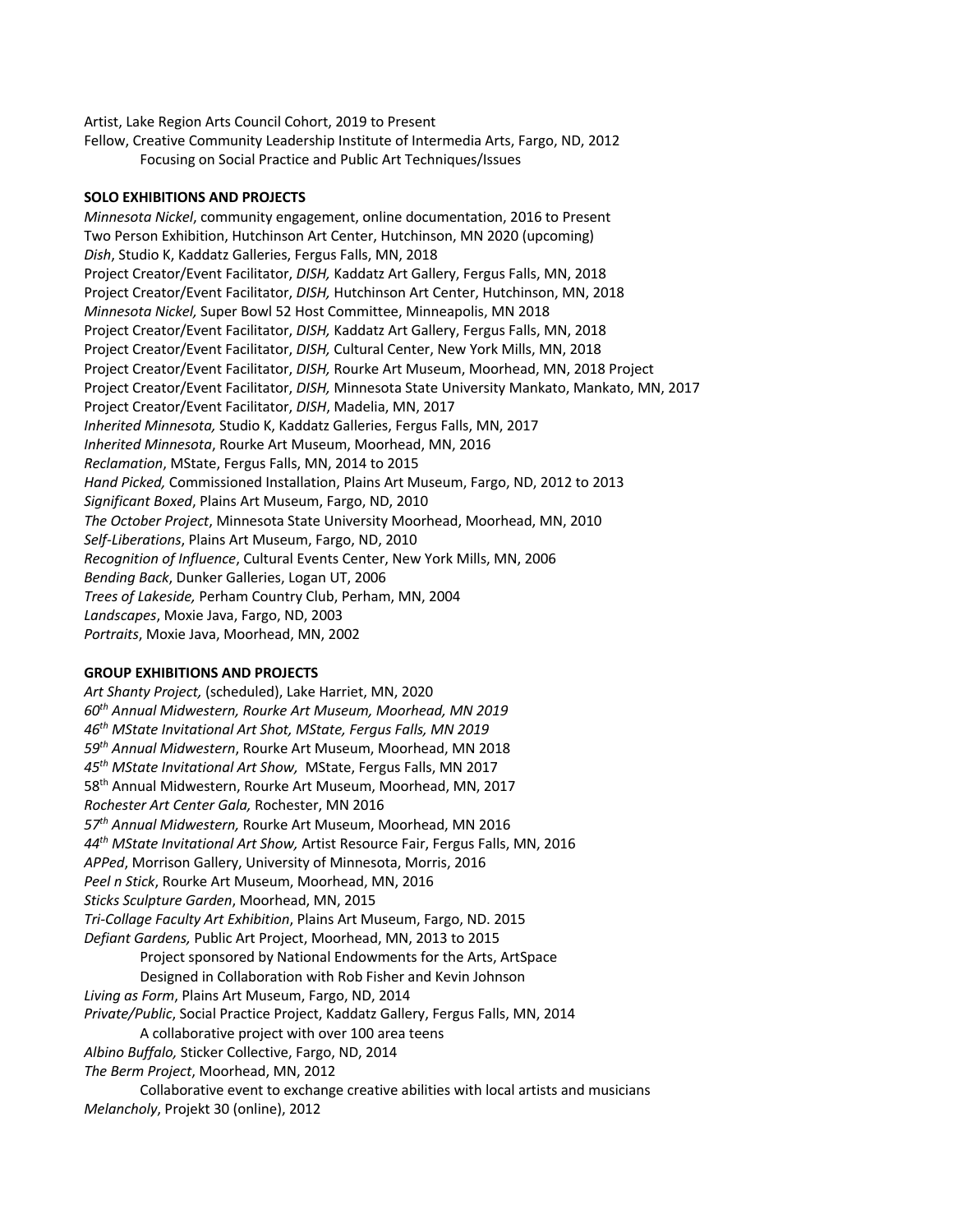Artist, Lake Region Arts Council Cohort, 2019 to Present Fellow, Creative Community Leadership Institute of Intermedia Arts, Fargo, ND, 2012 Focusing on Social Practice and Public Art Techniques/Issues

## **SOLO EXHIBITIONS AND PROJECTS**

*Minnesota Nickel*, community engagement, online documentation, 2016 to Present Two Person Exhibition, Hutchinson Art Center, Hutchinson, MN 2020 (upcoming) *Dish*, Studio K, Kaddatz Galleries, Fergus Falls, MN, 2018 Project Creator/Event Facilitator, *DISH,* Kaddatz Art Gallery, Fergus Falls, MN, 2018 Project Creator/Event Facilitator, *DISH,* Hutchinson Art Center, Hutchinson, MN, 2018 *Minnesota Nickel,* Super Bowl 52 Host Committee, Minneapolis, MN 2018 Project Creator/Event Facilitator, *DISH,* Kaddatz Art Gallery, Fergus Falls, MN, 2018 Project Creator/Event Facilitator, *DISH,* Cultural Center, New York Mills, MN, 2018 Project Creator/Event Facilitator, *DISH,* Rourke Art Museum, Moorhead, MN, 2018 Project Project Creator/Event Facilitator, *DISH,* Minnesota State University Mankato, Mankato, MN, 2017 Project Creator/Event Facilitator, *DISH*, Madelia, MN, 2017 *Inherited Minnesota,* Studio K, Kaddatz Galleries, Fergus Falls, MN, 2017 *Inherited Minnesota*, Rourke Art Museum, Moorhead, MN, 2016 *Reclamation*, MState, Fergus Falls, MN, 2014 to 2015 *Hand Picked,* Commissioned Installation, Plains Art Museum, Fargo, ND, 2012 to 2013 *Significant Boxed*, Plains Art Museum, Fargo, ND, 2010 *The October Project*, Minnesota State University Moorhead, Moorhead, MN, 2010 *Self-Liberations*, Plains Art Museum, Fargo, ND, 2010 *Recognition of Influence*, Cultural Events Center, New York Mills, MN, 2006 *Bending Back*, Dunker Galleries, Logan UT, 2006 *Trees of Lakeside,* Perham Country Club, Perham, MN, 2004 *Landscapes*, Moxie Java, Fargo, ND, 2003 *Portraits*, Moxie Java, Moorhead, MN, 2002

#### **GROUP EXHIBITIONS AND PROJECTS**

*Art Shanty Project,* (scheduled), Lake Harriet, MN, 2020 *60th Annual Midwestern, Rourke Art Museum, Moorhead, MN 2019 46th MState Invitational Art Shot, MState, Fergus Falls, MN 2019 59th Annual Midwestern*, Rourke Art Museum, Moorhead, MN 2018 *45th MState Invitational Art Show,* MState, Fergus Falls, MN 2017 58<sup>th</sup> Annual Midwestern, Rourke Art Museum, Moorhead, MN, 2017 *Rochester Art Center Gala,* Rochester, MN 2016 *57th Annual Midwestern,* Rourke Art Museum, Moorhead, MN 2016 *44th MState Invitational Art Show,* Artist Resource Fair, Fergus Falls, MN, 2016 *APPed*, Morrison Gallery, University of Minnesota, Morris, 2016 *Peel n Stick*, Rourke Art Museum, Moorhead, MN, 2016 *Sticks Sculpture Garden*, Moorhead, MN, 2015 *Tri-Collage Faculty Art Exhibition*, Plains Art Museum, Fargo, ND. 2015 *Defiant Gardens,* Public Art Project, Moorhead, MN, 2013 to 2015 Project sponsored by National Endowments for the Arts, ArtSpace Designed in Collaboration with Rob Fisher and Kevin Johnson *Living as Form*, Plains Art Museum, Fargo, ND, 2014 *Private/Public*, Social Practice Project, Kaddatz Gallery, Fergus Falls, MN, 2014 A collaborative project with over 100 area teens *Albino Buffalo,* Sticker Collective, Fargo, ND, 2014 *The Berm Project*, Moorhead, MN, 2012 Collaborative event to exchange creative abilities with local artists and musicians *Melancholy*, Projekt 30 (online), 2012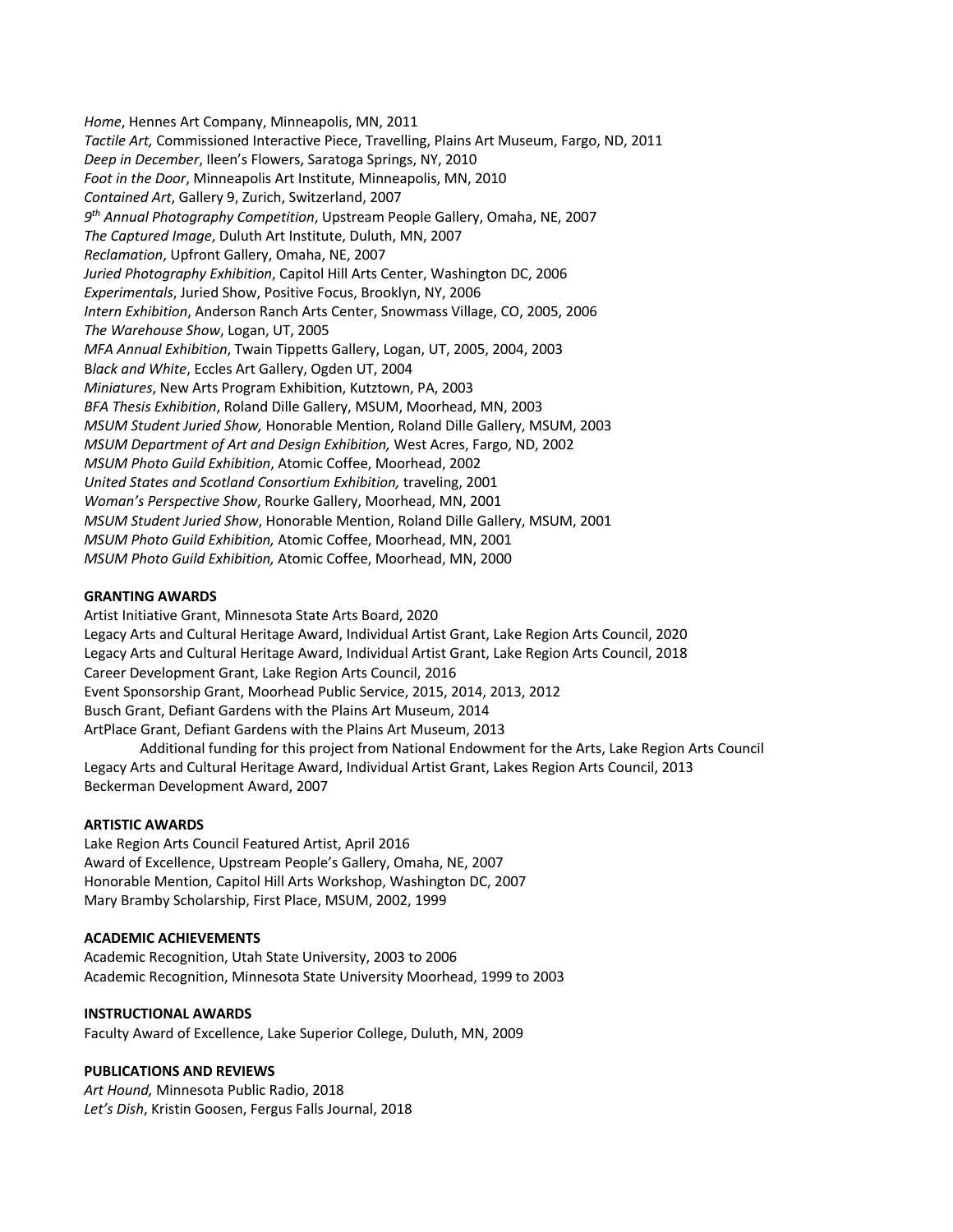*Home*, Hennes Art Company, Minneapolis, MN, 2011 *Tactile Art,* Commissioned Interactive Piece, Travelling, Plains Art Museum, Fargo, ND, 2011 *Deep in December*, Ileen's Flowers, Saratoga Springs, NY, 2010 *Foot in the Door*, Minneapolis Art Institute, Minneapolis, MN, 2010 *Contained Art*, Gallery 9, Zurich, Switzerland, 2007 *9th Annual Photography Competition*, Upstream People Gallery, Omaha, NE, 2007 *The Captured Image*, Duluth Art Institute, Duluth, MN, 2007 *Reclamation*, Upfront Gallery, Omaha, NE, 2007 *Juried Photography Exhibition*, Capitol Hill Arts Center, Washington DC, 2006 *Experimentals*, Juried Show, Positive Focus, Brooklyn, NY, 2006 *Intern Exhibition*, Anderson Ranch Arts Center, Snowmass Village, CO, 2005, 2006 *The Warehouse Show*, Logan, UT, 2005 *MFA Annual Exhibition*, Twain Tippetts Gallery, Logan, UT, 2005, 2004, 2003 B*lack and White*, Eccles Art Gallery, Ogden UT, 2004 *Miniatures*, New Arts Program Exhibition, Kutztown, PA, 2003 *BFA Thesis Exhibition*, Roland Dille Gallery, MSUM, Moorhead, MN, 2003 *MSUM Student Juried Show,* Honorable Mention, Roland Dille Gallery, MSUM, 2003 *MSUM Department of Art and Design Exhibition,* West Acres, Fargo, ND, 2002 *MSUM Photo Guild Exhibition*, Atomic Coffee, Moorhead, 2002 *United States and Scotland Consortium Exhibition,* traveling, 2001 *Woman's Perspective Show*, Rourke Gallery, Moorhead, MN, 2001 *MSUM Student Juried Show*, Honorable Mention, Roland Dille Gallery, MSUM, 2001 *MSUM Photo Guild Exhibition,* Atomic Coffee, Moorhead, MN, 2001 *MSUM Photo Guild Exhibition,* Atomic Coffee, Moorhead, MN, 2000

### **GRANTING AWARDS**

Artist Initiative Grant, Minnesota State Arts Board, 2020 Legacy Arts and Cultural Heritage Award, Individual Artist Grant, Lake Region Arts Council, 2020 Legacy Arts and Cultural Heritage Award, Individual Artist Grant, Lake Region Arts Council, 2018 Career Development Grant, Lake Region Arts Council, 2016 Event Sponsorship Grant, Moorhead Public Service, 2015, 2014, 2013, 2012 Busch Grant, Defiant Gardens with the Plains Art Museum, 2014 ArtPlace Grant, Defiant Gardens with the Plains Art Museum, 2013

Additional funding for this project from National Endowment for the Arts, Lake Region Arts Council Legacy Arts and Cultural Heritage Award, Individual Artist Grant, Lakes Region Arts Council, 2013 Beckerman Development Award, 2007

### **ARTISTIC AWARDS**

Lake Region Arts Council Featured Artist, April 2016 Award of Excellence, Upstream People's Gallery, Omaha, NE, 2007 Honorable Mention, Capitol Hill Arts Workshop, Washington DC, 2007 Mary Bramby Scholarship, First Place, MSUM, 2002, 1999

### **ACADEMIC ACHIEVEMENTS**

Academic Recognition, Utah State University, 2003 to 2006 Academic Recognition, Minnesota State University Moorhead, 1999 to 2003

### **INSTRUCTIONAL AWARDS**

Faculty Award of Excellence, Lake Superior College, Duluth, MN, 2009

### **PUBLICATIONS AND REVIEWS**

*Art Hound,* Minnesota Public Radio, 2018 *Let's Dish*, Kristin Goosen, Fergus Falls Journal, 2018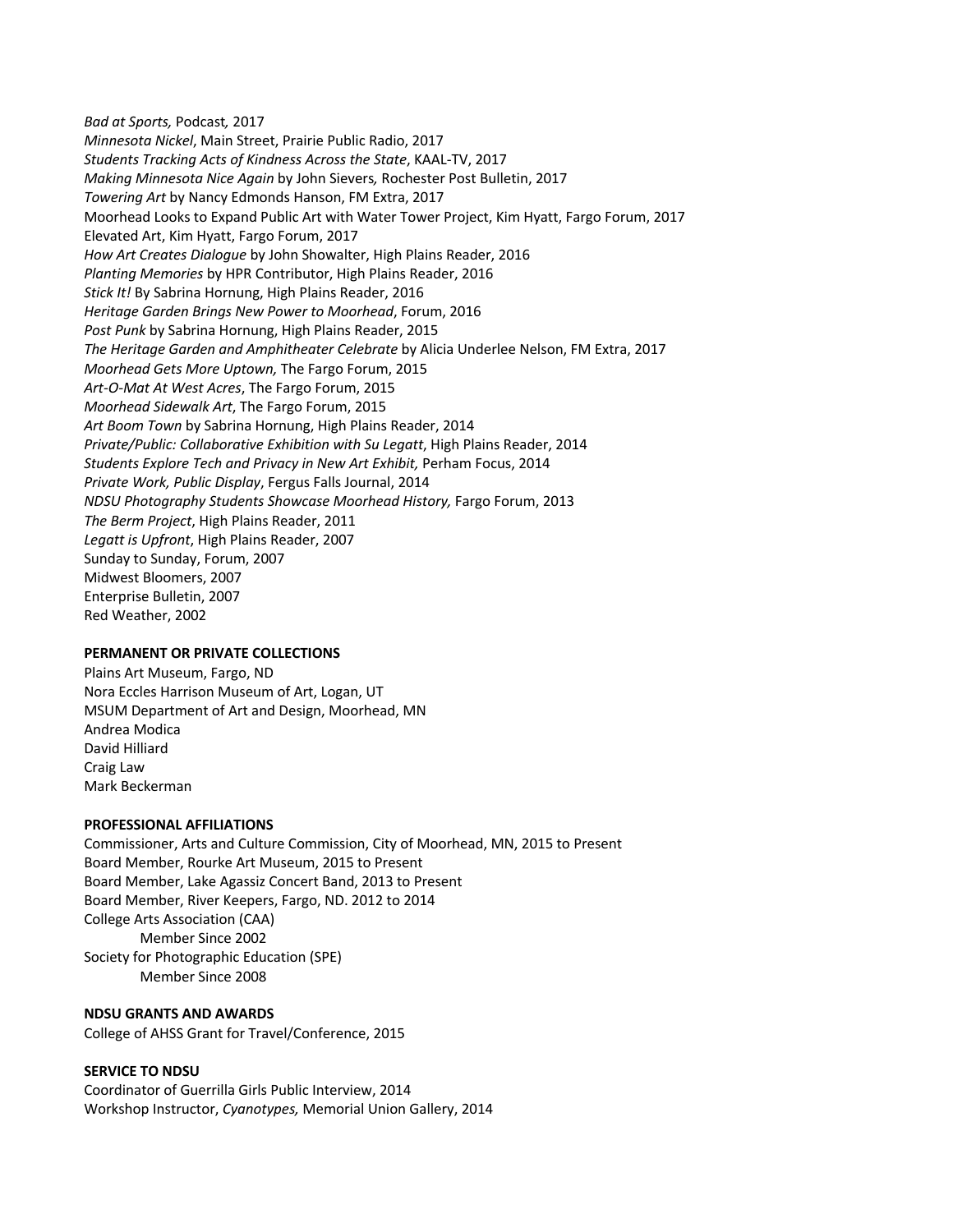*Bad at Sports,* Podcast*,* 2017 *Minnesota Nickel*, Main Street, Prairie Public Radio, 2017 *Students Tracking Acts of Kindness Across the State*, KAAL-TV, 2017 *Making Minnesota Nice Again* by John Sievers*,* Rochester Post Bulletin, 2017 *Towering Art* by Nancy Edmonds Hanson, FM Extra, 2017 Moorhead Looks to Expand Public Art with Water Tower Project, Kim Hyatt, Fargo Forum, 2017 Elevated Art, Kim Hyatt, Fargo Forum, 2017 *How Art Creates Dialogue* by John Showalter, High Plains Reader, 2016 *Planting Memories* by HPR Contributor, High Plains Reader, 2016 *Stick It!* By Sabrina Hornung, High Plains Reader, 2016 *Heritage Garden Brings New Power to Moorhead*, Forum, 2016 *Post Punk* by Sabrina Hornung, High Plains Reader, 2015 *The Heritage Garden and Amphitheater Celebrate* by Alicia Underlee Nelson, FM Extra, 2017 *Moorhead Gets More Uptown,* The Fargo Forum, 2015 *Art-O-Mat At West Acres*, The Fargo Forum, 2015 *Moorhead Sidewalk Art*, The Fargo Forum, 2015 *Art Boom Town* by Sabrina Hornung, High Plains Reader, 2014 *Private/Public: Collaborative Exhibition with Su Legatt*, High Plains Reader, 2014 *Students Explore Tech and Privacy in New Art Exhibit,* Perham Focus, 2014 *Private Work, Public Display*, Fergus Falls Journal, 2014 *NDSU Photography Students Showcase Moorhead History,* Fargo Forum, 2013 *The Berm Project*, High Plains Reader, 2011 *Legatt is Upfront*, High Plains Reader, 2007 Sunday to Sunday, Forum, 2007 Midwest Bloomers, 2007 Enterprise Bulletin, 2007 Red Weather, 2002

### **PERMANENT OR PRIVATE COLLECTIONS**

Plains Art Museum, Fargo, ND Nora Eccles Harrison Museum of Art, Logan, UT MSUM Department of Art and Design, Moorhead, MN Andrea Modica David Hilliard Craig Law Mark Beckerman

#### **PROFESSIONAL AFFILIATIONS**

Commissioner, Arts and Culture Commission, City of Moorhead, MN, 2015 to Present Board Member, Rourke Art Museum, 2015 to Present Board Member, Lake Agassiz Concert Band, 2013 to Present Board Member, River Keepers, Fargo, ND. 2012 to 2014 College Arts Association (CAA) Member Since 2002 Society for Photographic Education (SPE) Member Since 2008

#### **NDSU GRANTS AND AWARDS**

College of AHSS Grant for Travel/Conference, 2015

#### **SERVICE TO NDSU**

Coordinator of Guerrilla Girls Public Interview, 2014 Workshop Instructor, *Cyanotypes,* Memorial Union Gallery, 2014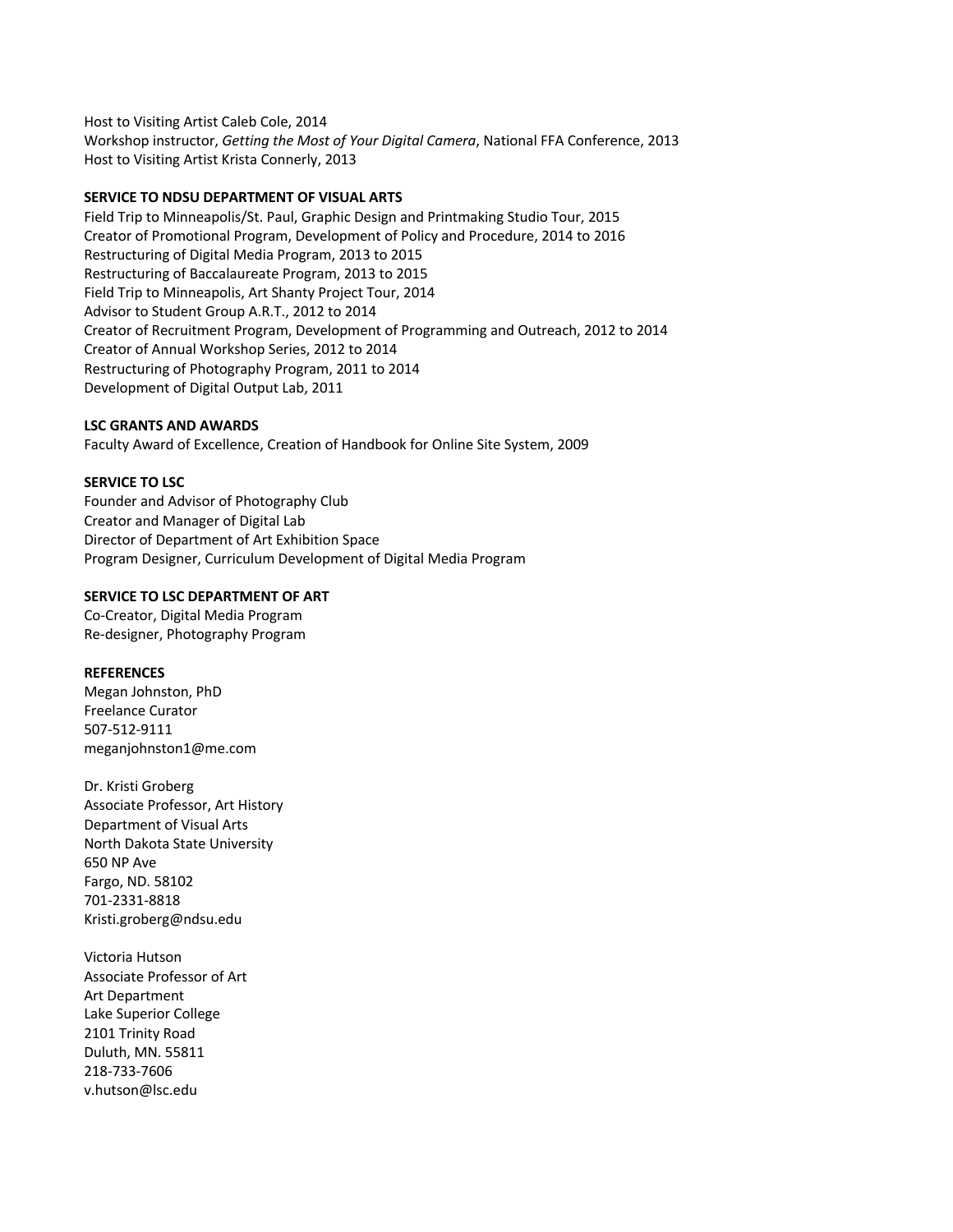Host to Visiting Artist Caleb Cole, 2014 Workshop instructor, *Getting the Most of Your Digital Camera*, National FFA Conference, 2013 Host to Visiting Artist Krista Connerly, 2013

## **SERVICE TO NDSU DEPARTMENT OF VISUAL ARTS**

Field Trip to Minneapolis/St. Paul, Graphic Design and Printmaking Studio Tour, 2015 Creator of Promotional Program, Development of Policy and Procedure, 2014 to 2016 Restructuring of Digital Media Program, 2013 to 2015 Restructuring of Baccalaureate Program, 2013 to 2015 Field Trip to Minneapolis, Art Shanty Project Tour, 2014 Advisor to Student Group A.R.T., 2012 to 2014 Creator of Recruitment Program, Development of Programming and Outreach, 2012 to 2014 Creator of Annual Workshop Series, 2012 to 2014 Restructuring of Photography Program, 2011 to 2014 Development of Digital Output Lab, 2011

## **LSC GRANTS AND AWARDS**

Faculty Award of Excellence, Creation of Handbook for Online Site System, 2009

## **SERVICE TO LSC**

Founder and Advisor of Photography Club Creator and Manager of Digital Lab Director of Department of Art Exhibition Space Program Designer, Curriculum Development of Digital Media Program

## **SERVICE TO LSC DEPARTMENT OF ART**

Co-Creator, Digital Media Program Re-designer, Photography Program

### **REFERENCES**

Megan Johnston, PhD Freelance Curator 507-512-9111 meganjohnston1@me.com

Dr. Kristi Groberg Associate Professor, Art History Department of Visual Arts North Dakota State University 650 NP Ave Fargo, ND. 58102 701-2331-8818 Kristi.groberg@ndsu.edu

Victoria Hutson Associate Professor of Art Art Department Lake Superior College 2101 Trinity Road Duluth, MN. 55811 218-733-7606 v.hutson@lsc.edu